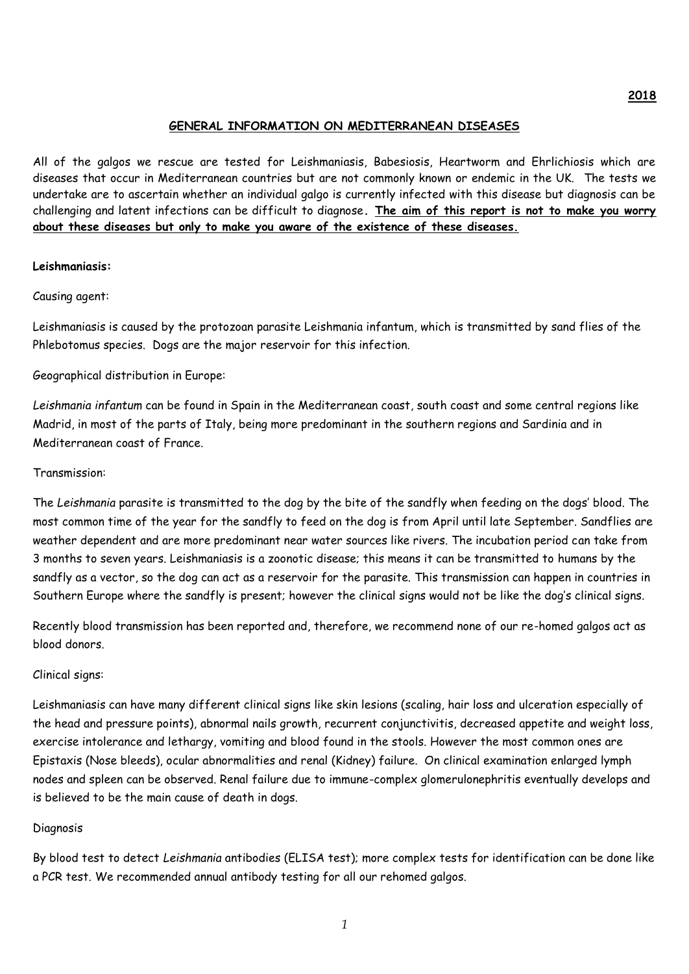### **GENERAL INFORMATION ON MEDITERRANEAN DISEASES**

All of the galgos we rescue are tested for Leishmaniasis, Babesiosis, Heartworm and Ehrlichiosis which are diseases that occur in Mediterranean countries but are not commonly known or endemic in the UK. The tests we undertake are to ascertain whether an individual galgo is currently infected with this disease but diagnosis can be challenging and latent infections can be difficult to diagnose**. The aim of this report is not to make you worry about these diseases but only to make you aware of the existence of these diseases.**

### **Leishmaniasis:**

Causing agent:

Leishmaniasis is caused by the protozoan parasite Leishmania infantum, which is transmitted by sand flies of the Phlebotomus species. Dogs are the major reservoir for this infection.

Geographical distribution in Europe:

*Leishmania infantum* can be found in Spain in the Mediterranean coast, south coast and some central regions like Madrid, in most of the parts of Italy, being more predominant in the southern regions and Sardinia and in Mediterranean coast of France.

### Transmission:

The *Leishmania* parasite is transmitted to the dog by the bite of the sandfly when feeding on the dogs' blood. The most common time of the year for the sandfly to feed on the dog is from April until late September. Sandflies are weather dependent and are more predominant near water sources like rivers. The incubation period can take from 3 months to seven years. Leishmaniasis is a zoonotic disease; this means it can be transmitted to humans by the sandfly as a vector, so the dog can act as a reservoir for the parasite. This transmission can happen in countries in Southern Europe where the sandfly is present; however the clinical signs would not be like the dog's clinical signs.

Recently blood transmission has been reported and, therefore, we recommend none of our re-homed galgos act as blood donors.

#### Clinical signs:

Leishmaniasis can have many different clinical signs like skin lesions (scaling, hair loss and ulceration especially of the head and pressure points), abnormal nails growth, recurrent conjunctivitis, decreased appetite and weight loss, exercise intolerance and lethargy, vomiting and blood found in the stools. However the most common ones are Epistaxis (Nose bleeds), ocular abnormalities and renal (Kidney) failure. On clinical examination enlarged lymph nodes and spleen can be observed. Renal failure due to immune-complex glomerulonephritis eventually develops and is believed to be the main cause of death in dogs.

#### Diagnosis

By blood test to detect *Leishmania* antibodies (ELISA test); more complex tests for identification can be done like a PCR test. We recommended annual antibody testing for all our rehomed galgos.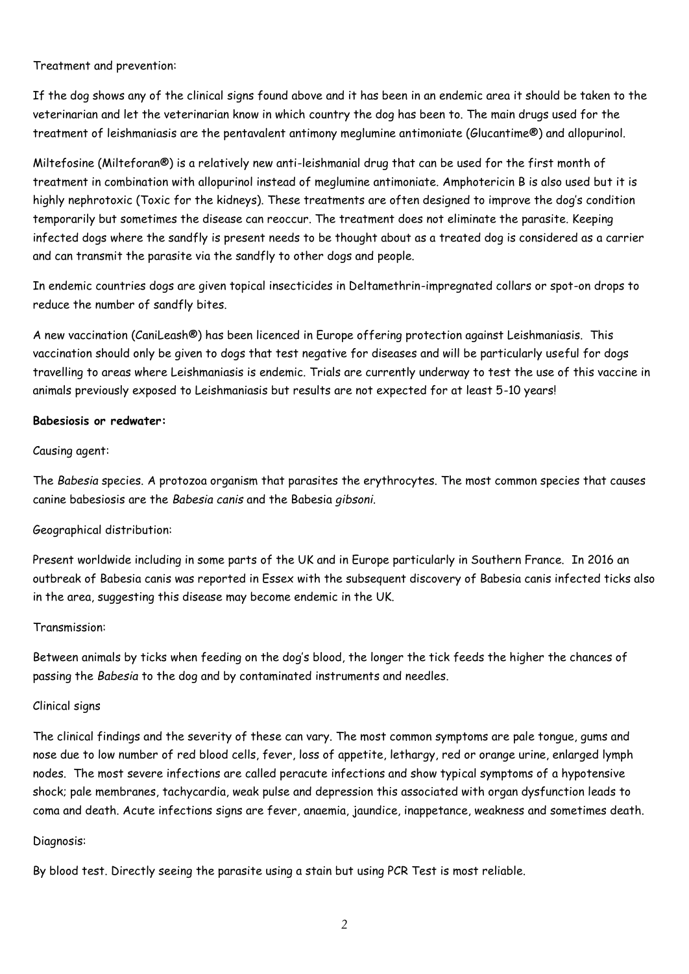Treatment and prevention:

If the dog shows any of the clinical signs found above and it has been in an endemic area it should be taken to the veterinarian and let the veterinarian know in which country the dog has been to. The main drugs used for the treatment of leishmaniasis are the pentavalent antimony meglumine antimoniate (Glucantime®) and allopurinol.

Miltefosine (Milteforan®) is a relatively new anti-leishmanial drug that can be used for the first month of treatment in combination with allopurinol instead of meglumine antimoniate. Amphotericin B is also used but it is highly nephrotoxic (Toxic for the kidneys). These treatments are often designed to improve the dog's condition temporarily but sometimes the disease can reoccur. The treatment does not eliminate the parasite. Keeping infected dogs where the sandfly is present needs to be thought about as a treated dog is considered as a carrier and can transmit the parasite via the sandfly to other dogs and people.

In endemic countries dogs are given topical insecticides in Deltamethrin-impregnated collars or spot-on drops to reduce the number of sandfly bites.

A new vaccination (CaniLeash®) has been licenced in Europe offering protection against Leishmaniasis. This vaccination should only be given to dogs that test negative for diseases and will be particularly useful for dogs travelling to areas where Leishmaniasis is endemic. Trials are currently underway to test the use of this vaccine in animals previously exposed to Leishmaniasis but results are not expected for at least 5-10 years!

### **Babesiosis or redwater:**

### Causing agent:

The *Babesia* species. A protozoa organism that parasites the erythrocytes. The most common species that causes canine babesiosis are the *Babesia canis* and the Babesia *gibsoni.*

## Geographical distribution:

Present worldwide including in some parts of the UK and in Europe particularly in Southern France. In 2016 an outbreak of Babesia canis was reported in Essex with the subsequent discovery of Babesia canis infected ticks also in the area, suggesting this disease may become endemic in the UK.

## Transmission:

Between animals by ticks when feeding on the dog's blood, the longer the tick feeds the higher the chances of passing the *Babesia* to the dog and by contaminated instruments and needles.

## Clinical signs

The clinical findings and the severity of these can vary. The most common symptoms are pale tongue, gums and nose due to low number of red blood cells, fever, loss of appetite, lethargy, red or orange urine, enlarged lymph nodes. The most severe infections are called peracute infections and show typical symptoms of a hypotensive shock; pale membranes, tachycardia, weak pulse and depression this associated with organ dysfunction leads to coma and death. Acute infections signs are fever, anaemia, jaundice, inappetance, weakness and sometimes death.

#### Diagnosis:

By blood test. Directly seeing the parasite using a stain but using PCR Test is most reliable.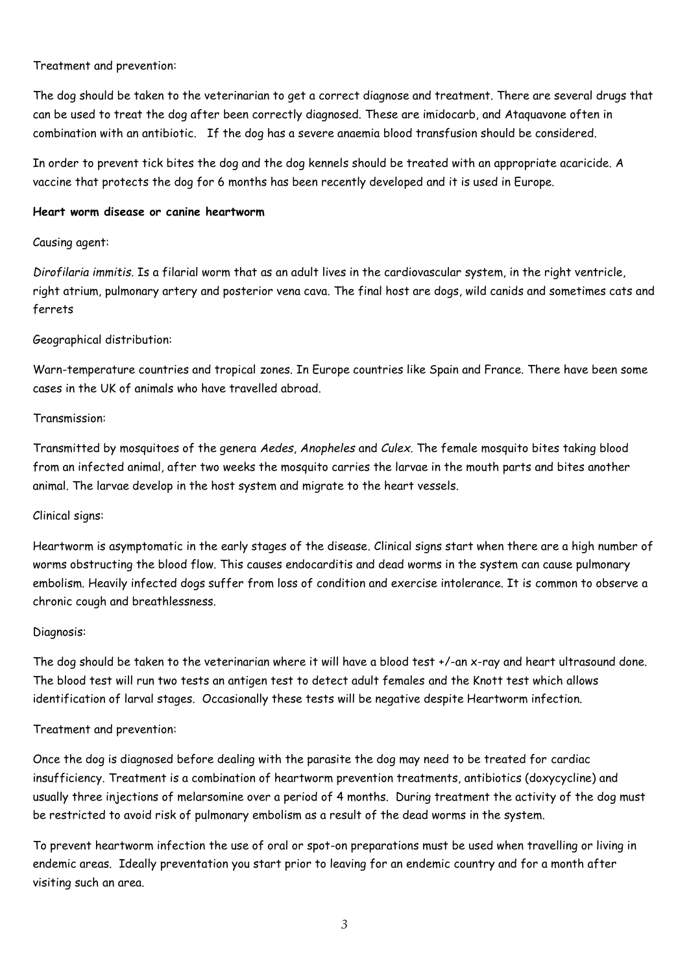### Treatment and prevention:

The dog should be taken to the veterinarian to get a correct diagnose and treatment. There are several drugs that can be used to treat the dog after been correctly diagnosed. These are imidocarb, and Ataquavone often in combination with an antibiotic. If the dog has a severe anaemia blood transfusion should be considered.

In order to prevent tick bites the dog and the dog kennels should be treated with an appropriate acaricide. A vaccine that protects the dog for 6 months has been recently developed and it is used in Europe.

### **Heart worm disease or canine heartworm**

## Causing agent:

*Dirofilaria immitis*. Is a filarial worm that as an adult lives in the cardiovascular system, in the right ventricle, right atrium, pulmonary artery and posterior vena cava. The final host are dogs, wild canids and sometimes cats and ferrets

# Geographical distribution:

Warn-temperature countries and tropical zones. In Europe countries like Spain and France. There have been some cases in the UK of animals who have travelled abroad.

## Transmission:

Transmitted by mosquitoes of the genera *Aedes*, *Anopheles* and *Culex*. The female mosquito bites taking blood from an infected animal, after two weeks the mosquito carries the larvae in the mouth parts and bites another animal. The larvae develop in the host system and migrate to the heart vessels.

## Clinical signs:

Heartworm is asymptomatic in the early stages of the disease. Clinical signs start when there are a high number of worms obstructing the blood flow. This causes endocarditis and dead worms in the system can cause pulmonary embolism. Heavily infected dogs suffer from loss of condition and exercise intolerance. It is common to observe a chronic cough and breathlessness.

## Diagnosis:

The dog should be taken to the veterinarian where it will have a blood test +/-an x-ray and heart ultrasound done. The blood test will run two tests an antigen test to detect adult females and the Knott test which allows identification of larval stages. Occasionally these tests will be negative despite Heartworm infection.

## Treatment and prevention:

Once the dog is diagnosed before dealing with the parasite the dog may need to be treated for cardiac insufficiency. Treatment is a combination of heartworm prevention treatments, antibiotics (doxycycline) and usually three injections of melarsomine over a period of 4 months. During treatment the activity of the dog must be restricted to avoid risk of pulmonary embolism as a result of the dead worms in the system.

To prevent heartworm infection the use of oral or spot-on preparations must be used when travelling or living in endemic areas. Ideally preventation you start prior to leaving for an endemic country and for a month after visiting such an area.